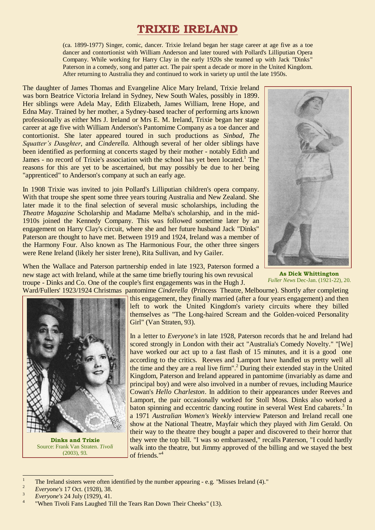# **TRIXIE IRELAND**

(ca. 1899-1977) Singer, comic, dancer. Trixie Ireland began her stage career at age five as a toe dancer and contortionist with William Anderson and later toured with Pollard's Lilliputian Opera Company. While working for Harry Clay in the early 1920s she teamed up with Jack "Dinks" Paterson in a comedy, song and patter act. The pair spent a decade or more in the United Kingdom. After returning to Australia they and continued to work in variety up until the late 1950s.

The daughter of James Thomas and Evangeline Alice Mary Ireland, Trixie Ireland was born Beatrice Victoria Ireland in Sydney, New South Wales, possibly in 1899. Her siblings were Adela May, Edith Elizabeth, James William, Irene Hope, and Edna May. Trained by her mother, a Sydney-based teacher of performing arts known professionally as either Mrs J. Ireland or Mrs E. M. Ireland, Trixie began her stage career at age five with William Anderson's Pantomime Company as a toe dancer and contortionist. She later appeared toured in such productions as *Sinbad*, *The Squatter's Daughter*, and *Cinderella.* Although several of her older siblings have been identified as performing at concerts staged by their mother - notably Edith and James - no record of Trixie's association with the school has yet been located.<sup>1</sup> The reasons for this are yet to be ascertained, but may possibly be due to her being "apprenticed" to Anderson's company at such an early age.

In 1908 Trixie was invited to join Pollard's Lilliputian children's opera company. With that troupe she spent some three years touring Australia and New Zealand. She later made it to the final selection of several music scholarships, including the *Theatre Magazine* Scholarship and Madame Melba's scholarship, and in the mid-1910s joined the Kennedy Company. This was followed sometime later by an engagement on Harry Clay's circuit, where she and her future husband Jack "Dinks" Paterson are thought to have met. Between 1919 and 1924, Ireland was a member of the Harmony Four. Also known as The Harmonious Four, the other three singers were Rene Ireland (likely her sister Irene), Rita Sullivan, and Ivy Gailer.



**As Dick Whittington** *Fuller News* Dec-Jan. (1921-22), 20.

When the Wallace and Paterson partnership ended in late 1923, Paterson formed a new stage act with Ireland, while at the same time briefly touring his own revusical troupe - Dinks and Co. One of the couple's first engagements was in the Hugh J.



**Dinks and Trixie** Source: Frank Van Straten. *Tivoli* (2003), 93.

Ward/Fullers' 1923/1924 Christmas pantomime *Cinderella* (Princess Theatre, Melbourne). Shortly after completing this engagement, they finally married (after a four years engagement) and then left to work the United Kingdom's variety circuits where they billed themselves as "The Long-haired Scream and the Golden-voiced Personality Girl" (Van Straten, 93).

> In a letter to *Everyone's* in late 1928, Paterson records that he and Ireland had scored strongly in London with their act "Australia's Comedy Novelty." "[We] have worked our act up to a fast flash of 15 minutes, and it is a good one according to the critics. Reeves and Lamport have handled us pretty well all the time and they are a real live firm". <sup>2</sup> During their extended stay in the United Kingdom, Paterson and Ireland appeared in pantomime (invariably as dame and principal boy) and were also involved in a number of revues, including Maurice Cowan's *Hello Charleston*. In addition to their appearances under Reeves and Lamport, the pair occasionally worked for Stoll Moss. Dinks also worked a baton spinning and eccentric dancing routine in several West End cabarets.<sup>3</sup> In a 1971 *Australian Women's Weekly* interview Paterson and Ireland recall one show at the National Theatre, Mayfair which they played with Jim Gerald. On their way to the theatre they bought a paper and discovered to their horror that they were the top bill. "I was so embarrassed," recalls Paterson, "I could hardly walk into the theatre, but Jimmy approved of the billing and we stayed the best of friends." 4

 $\overline{a}$ 

<sup>1</sup> The Ireland sisters were often identified by the number appearing - e.g. "Misses Ireland (4)."

<sup>2</sup> *Everyone's* 17 Oct. (1928), 38. 3

*Everyone's* 24 July (1929), 41. 4

<sup>&</sup>quot;When Tivoli Fans Laughed Till the Tears Ran Down Their Cheeks" (13).